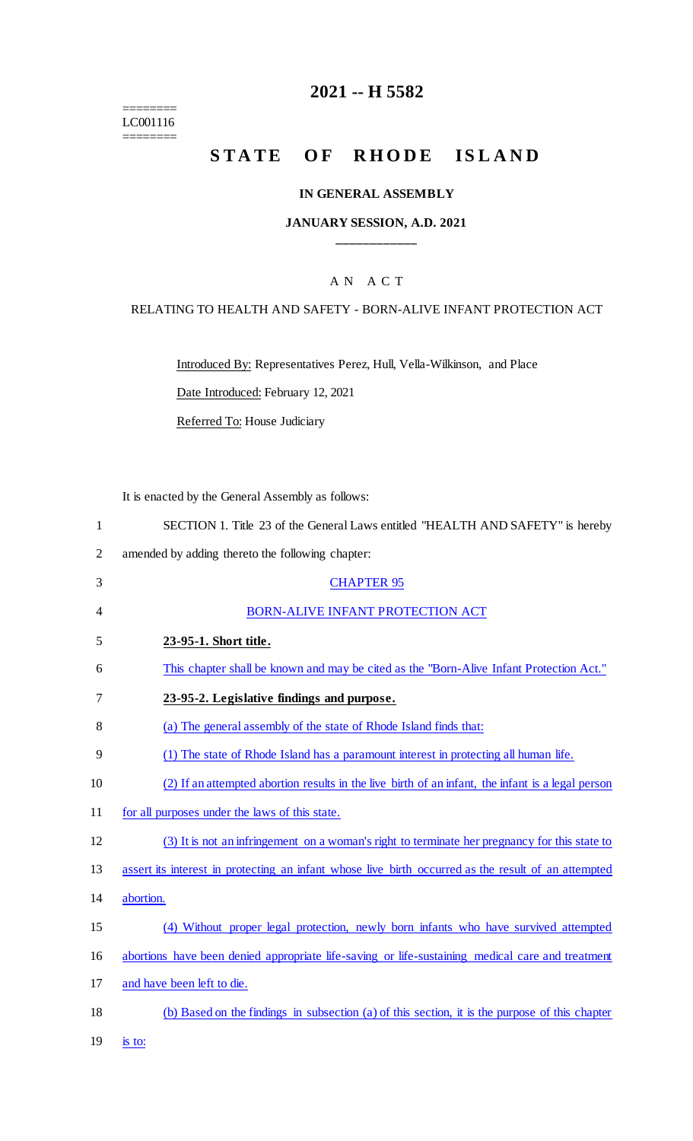======== LC001116

========

## **2021 -- H 5582**

# **STATE OF RHODE ISLAND**

#### **IN GENERAL ASSEMBLY**

#### **JANUARY SESSION, A.D. 2021 \_\_\_\_\_\_\_\_\_\_\_\_**

### A N A C T

#### RELATING TO HEALTH AND SAFETY - BORN-ALIVE INFANT PROTECTION ACT

Introduced By: Representatives Perez, Hull, Vella-Wilkinson, and Place

Date Introduced: February 12, 2021

Referred To: House Judiciary

It is enacted by the General Assembly as follows:

2 amended by adding thereto the following chapter:

| 3  | <b>CHAPTER 95</b>                                                                                   |
|----|-----------------------------------------------------------------------------------------------------|
| 4  | <b>BORN-ALIVE INFANT PROTECTION ACT</b>                                                             |
| 5  | 23-95-1. Short title.                                                                               |
| 6  | This chapter shall be known and may be cited as the "Born-Alive Infant Protection Act."             |
| 7  | 23-95-2. Legislative findings and purpose.                                                          |
| 8  | (a) The general assembly of the state of Rhode Island finds that:                                   |
| 9  | (1) The state of Rhode Island has a paramount interest in protecting all human life.                |
| 10 | (2) If an attempted abortion results in the live birth of an infant, the infant is a legal person   |
| 11 | for all purposes under the laws of this state.                                                      |
| 12 | (3) It is not an infringement on a woman's right to terminate her pregnancy for this state to       |
| 13 | assert its interest in protecting an infant whose live birth occurred as the result of an attempted |
| 14 | abortion.                                                                                           |
| 15 | (4) Without proper legal protection, newly born infants who have survived attempted                 |
| 16 | abortions have been denied appropriate life-saving or life-sustaining medical care and treatment    |
| 17 | and have been left to die.                                                                          |
| 18 | (b) Based on the findings in subsection (a) of this section, it is the purpose of this chapter      |
|    |                                                                                                     |

19 is to: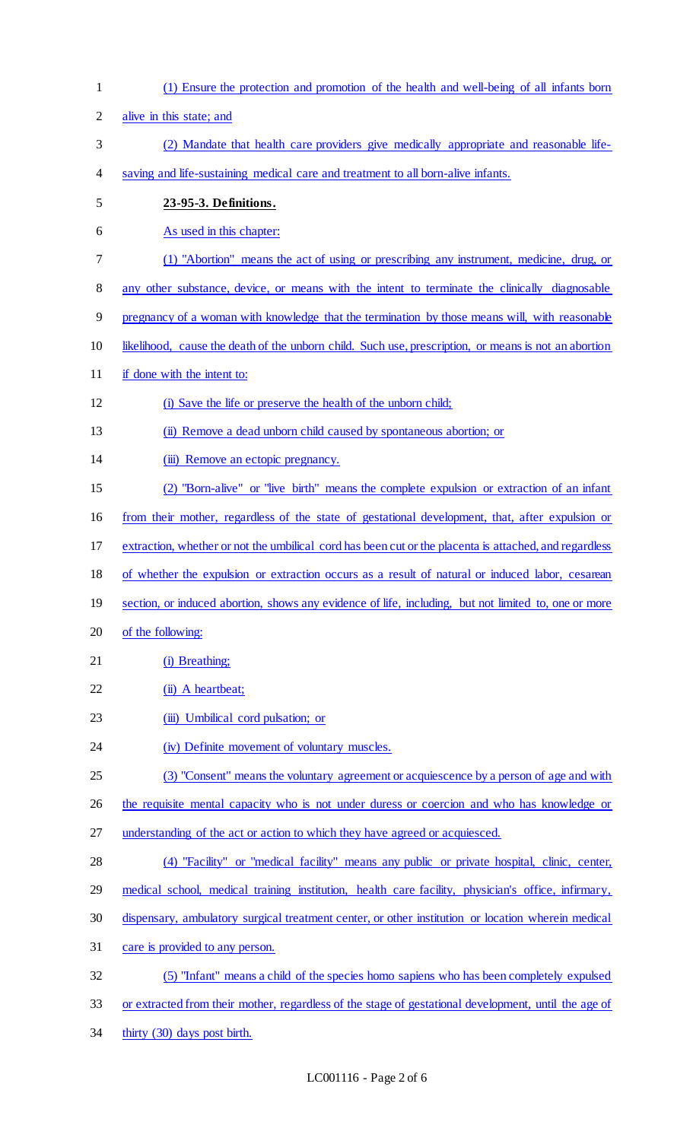(1) Ensure the protection and promotion of the health and well-being of all infants born alive in this state; and (2) Mandate that health care providers give medically appropriate and reasonable life- saving and life-sustaining medical care and treatment to all born-alive infants. **23-95-3. Definitions.**  As used in this chapter: (1) "Abortion" means the act of using or prescribing any instrument, medicine, drug, or any other substance, device, or means with the intent to terminate the clinically diagnosable 9 pregnancy of a woman with knowledge that the termination by those means will, with reasonable likelihood, cause the death of the unborn child. Such use, prescription, or means is not an abortion if done with the intent to: (i) Save the life or preserve the health of the unborn child; (ii) Remove a dead unborn child caused by spontaneous abortion; or 14 (iii) Remove an ectopic pregnancy. (2) "Born-alive" or "live birth" means the complete expulsion or extraction of an infant from their mother, regardless of the state of gestational development, that, after expulsion or extraction, whether or not the umbilical cord has been cut or the placenta is attached, and regardless of whether the expulsion or extraction occurs as a result of natural or induced labor, cesarean section, or induced abortion, shows any evidence of life, including, but not limited to, one or more of the following: 21 (i) Breathing; 22 (ii) A heartbeat; 23 (iii) Umbilical cord pulsation; or 24 (iv) Definite movement of voluntary muscles. (3) "Consent" means the voluntary agreement or acquiescence by a person of age and with 26 the requisite mental capacity who is not under duress or coercion and who has knowledge or understanding of the act or action to which they have agreed or acquiesced. (4) "Facility" or "medical facility" means any public or private hospital, clinic, center, medical school, medical training institution, health care facility, physician's office, infirmary, dispensary, ambulatory surgical treatment center, or other institution or location wherein medical care is provided to any person. (5) "Infant" means a child of the species homo sapiens who has been completely expulsed or extracted from their mother, regardless of the stage of gestational development, until the age of thirty (30) days post birth.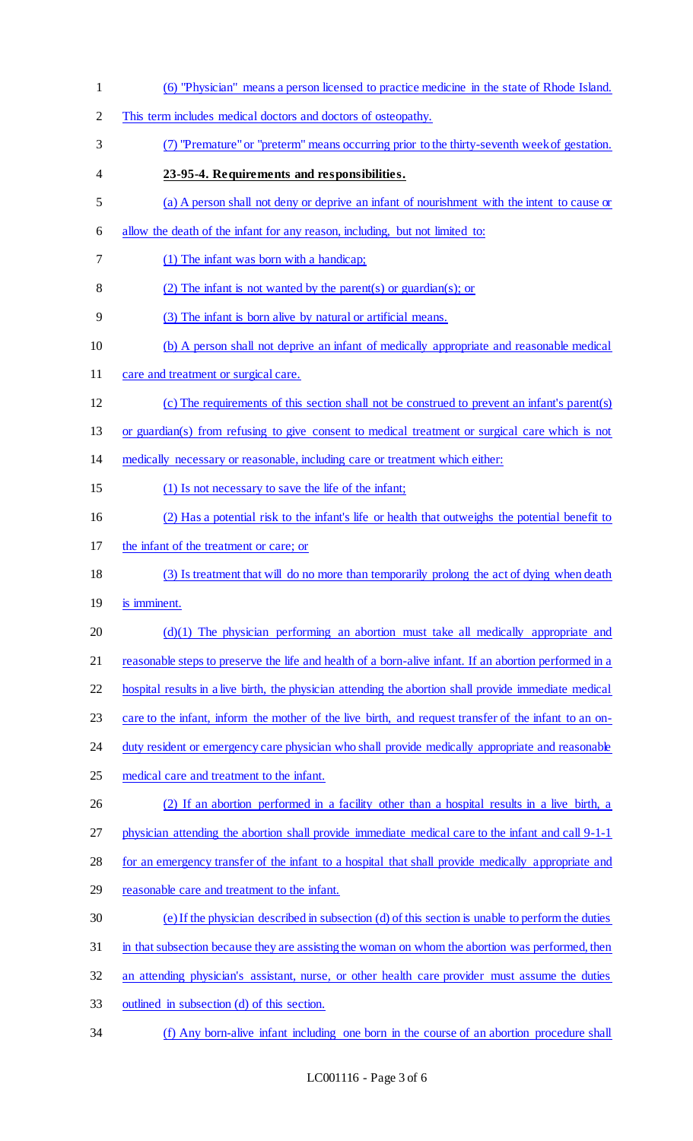(6) "Physician" means a person licensed to practice medicine in the state of Rhode Island. This term includes medical doctors and doctors of osteopathy. (7) "Premature" or "preterm" means occurring prior to the thirty-seventh week of gestation. **23-95-4. Requirements and responsibilities.**  (a) A person shall not deny or deprive an infant of nourishment with the intent to cause or allow the death of the infant for any reason, including, but not limited to: (1) The infant was born with a handicap; 8 (2) The infant is not wanted by the parent(s) or guardian(s); or (3) The infant is born alive by natural or artificial means. (b) A person shall not deprive an infant of medically appropriate and reasonable medical 11 care and treatment or surgical care. (c) The requirements of this section shall not be construed to prevent an infant's parent(s) or guardian(s) from refusing to give consent to medical treatment or surgical care which is not medically necessary or reasonable, including care or treatment which either: (1) Is not necessary to save the life of the infant; (2) Has a potential risk to the infant's life or health that outweighs the potential benefit to 17 the infant of the treatment or care; or (3) Is treatment that will do no more than temporarily prolong the act of dying when death is imminent. 20 (d)(1) The physician performing an abortion must take all medically appropriate and 21 reasonable steps to preserve the life and health of a born-alive infant. If an abortion performed in a hospital results in a live birth, the physician attending the abortion shall provide immediate medical care to the infant, inform the mother of the live birth, and request transfer of the infant to an on-24 duty resident or emergency care physician who shall provide medically appropriate and reasonable 25 medical care and treatment to the infant. (2) If an abortion performed in a facility other than a hospital results in a live birth, a physician attending the abortion shall provide immediate medical care to the infant and call 9-1-1 for an emergency transfer of the infant to a hospital that shall provide medically appropriate and reasonable care and treatment to the infant. (e) If the physician described in subsection (d) of this section is unable to perform the duties 31 in that subsection because they are assisting the woman on whom the abortion was performed, then an attending physician's assistant, nurse, or other health care provider must assume the duties outlined in subsection (d) of this section. (f) Any born-alive infant including one born in the course of an abortion procedure shall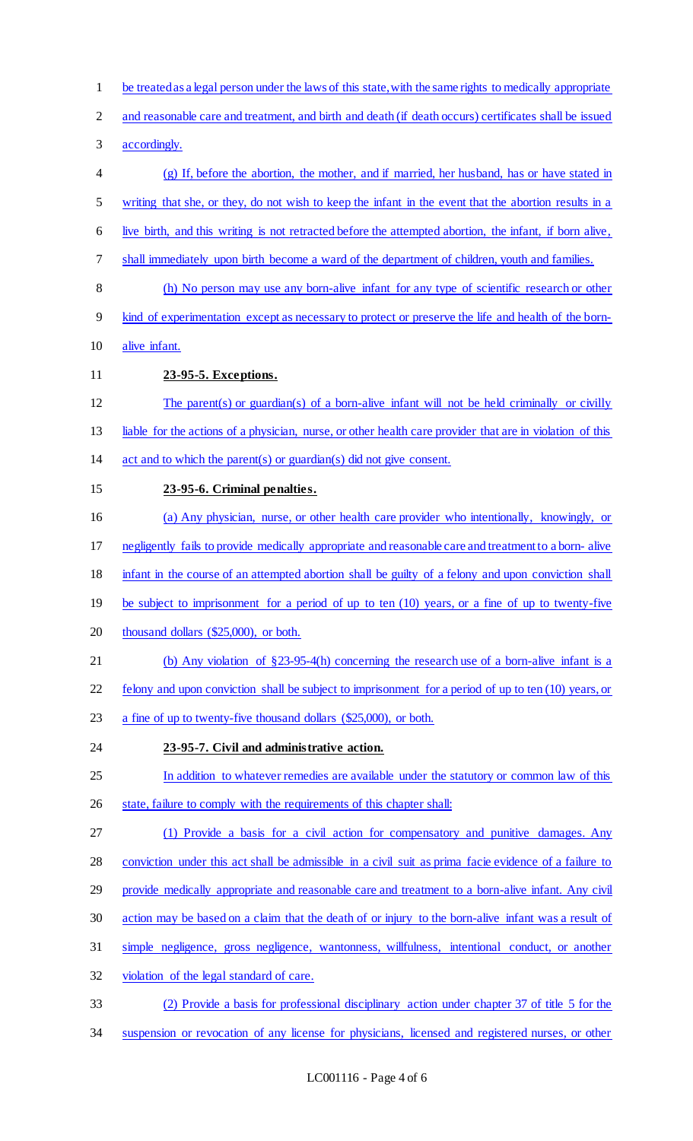be treated as a legal person under the laws of this state, with the same rights to medically appropriate and reasonable care and treatment, and birth and death (if death occurs) certificates shall be issued accordingly. (g) If, before the abortion, the mother, and if married, her husband, has or have stated in writing that she, or they, do not wish to keep the infant in the event that the abortion results in a live birth, and this writing is not retracted before the attempted abortion, the infant, if born alive, shall immediately upon birth become a ward of the department of children, youth and families. (h) No person may use any born-alive infant for any type of scientific research or other kind of experimentation except as necessary to protect or preserve the life and health of the born- alive infant. **23-95-5. Exceptions.**  The parent(s) or guardian(s) of a born-alive infant will not be held criminally or civilly liable for the actions of a physician, nurse, or other health care provider that are in violation of this act and to which the parent(s) or guardian(s) did not give consent. **23-95-6. Criminal penalties.**  (a) Any physician, nurse, or other health care provider who intentionally, knowingly, or negligently fails to provide medically appropriate and reasonable care and treatment to a born- alive 18 infant in the course of an attempted abortion shall be guilty of a felony and upon conviction shall 19 be subject to imprisonment for a period of up to ten (10) years, or a fine of up to twenty-five thousand dollars (\$25,000), or both. (b) Any violation of §23-95-4(h) concerning the research use of a born-alive infant is a felony and upon conviction shall be subject to imprisonment for a period of up to ten (10) years, or a fine of up to twenty-five thousand dollars (\$25,000), or both. **23-95-7. Civil and administrative action.**  In addition to whatever remedies are available under the statutory or common law of this 26 state, failure to comply with the requirements of this chapter shall: (1) Provide a basis for a civil action for compensatory and punitive damages. Any conviction under this act shall be admissible in a civil suit as prima facie evidence of a failure to 29 provide medically appropriate and reasonable care and treatment to a born-alive infant. Any civil action may be based on a claim that the death of or injury to the born-alive infant was a result of simple negligence, gross negligence, wantonness, willfulness, intentional conduct, or another violation of the legal standard of care. (2) Provide a basis for professional disciplinary action under chapter 37 of title 5 for the suspension or revocation of any license for physicians, licensed and registered nurses, or other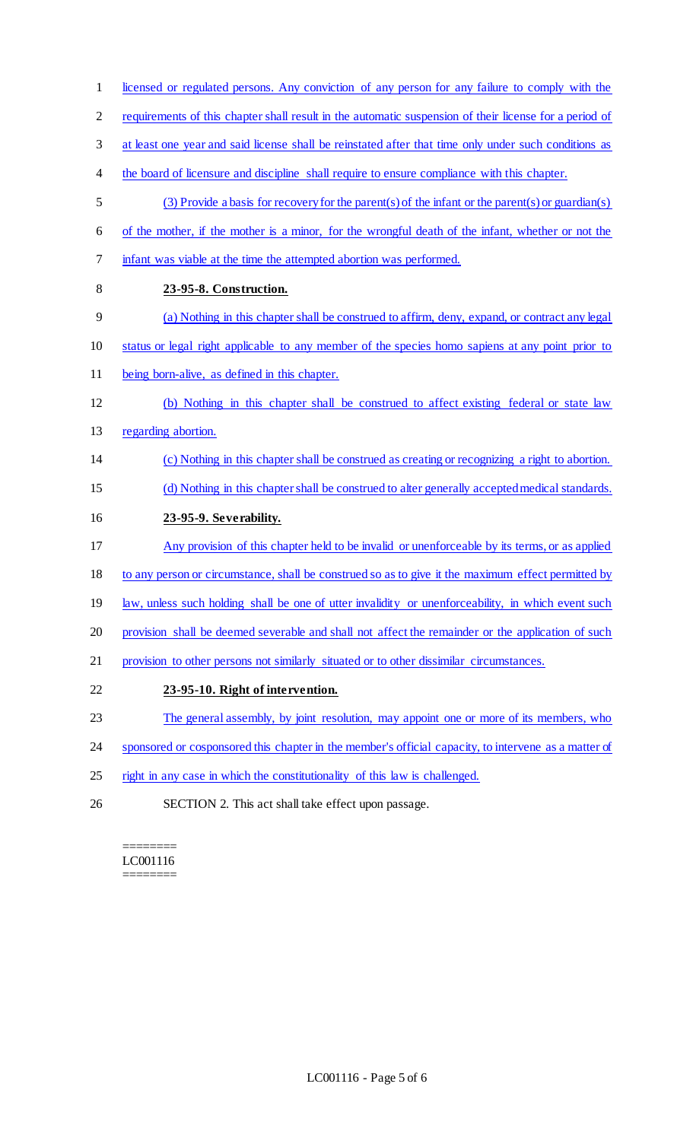requirements of this chapter shall result in the automatic suspension of their license for a period of at least one year and said license shall be reinstated after that time only under such conditions as the board of licensure and discipline shall require to ensure compliance with this chapter. (3) Provide a basis for recovery for the parent(s) of the infant or the parent(s) or guardian(s) of the mother, if the mother is a minor, for the wrongful death of the infant, whether or not the infant was viable at the time the attempted abortion was performed. **23-95-8. Construction.**  (a) Nothing in this chapter shall be construed to affirm, deny, expand, or contract any legal status or legal right applicable to any member of the species homo sapiens at any point prior to being born-alive, as defined in this chapter. (b) Nothing in this chapter shall be construed to affect existing federal or state law regarding abortion. (c) Nothing in this chapter shall be construed as creating or recognizing a right to abortion. (d) Nothing in this chapter shall be construed to alter generally accepted medical standards. **23-95-9. Severability.**  Any provision of this chapter held to be invalid or unenforceable by its terms, or as applied to any person or circumstance, shall be construed so as to give it the maximum effect permitted by 19 law, unless such holding shall be one of utter invalidity or unenforceability, in which event such 20 provision shall be deemed severable and shall not affect the remainder or the application of such provision to other persons not similarly situated or to other dissimilar circumstances. **23-95-10. Right of intervention.**  23 The general assembly, by joint resolution, may appoint one or more of its members, who sponsored or cosponsored this chapter in the member's official capacity, to intervene as a matter of right in any case in which the constitutionality of this law is challenged. SECTION 2. This act shall take effect upon passage.

licensed or regulated persons. Any conviction of any person for any failure to comply with the

======== LC001116 ========